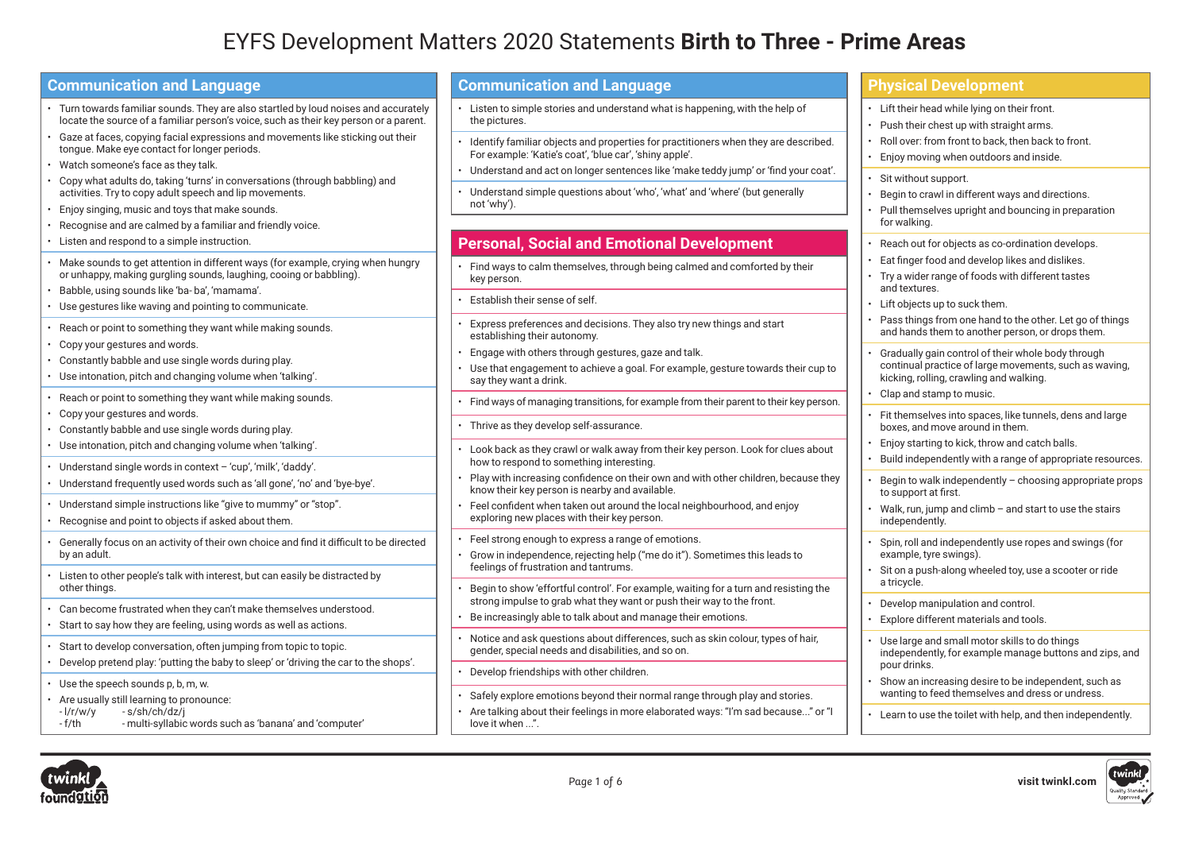# EYFS Development Matters 2020 Statements **Birth to Three - Prime Areas**

| <b>Communication and Language</b>                                                                                                                                                                                                                                                                                                                    | <b>Communication and Language</b>                                                                                                                                                                                                                                          | <b>Physical Development</b>                                                                                                                                                                                                                                             |
|------------------------------------------------------------------------------------------------------------------------------------------------------------------------------------------------------------------------------------------------------------------------------------------------------------------------------------------------------|----------------------------------------------------------------------------------------------------------------------------------------------------------------------------------------------------------------------------------------------------------------------------|-------------------------------------------------------------------------------------------------------------------------------------------------------------------------------------------------------------------------------------------------------------------------|
| Turn towards familiar sounds. They are also startled by loud noises and accurately<br>locate the source of a familiar person's voice, such as their key person or a parent.<br>Gaze at faces, copying facial expressions and movements like sticking out their<br>tonque. Make eye contact for longer periods.<br>Watch someone's face as they talk. | Listen to simple stories and understand what is happening, with the help of<br>the pictures.<br>Identify familiar objects and properties for practitioners when they are described.<br>For example: 'Katie's coat', 'blue car', 'shiny apple'.                             | • Lift their head while lying on their front.<br>Push their chest up with straight arms.<br>Roll over: from front to back, then back to front.<br>Enjoy moving when outdoors and inside.                                                                                |
| Copy what adults do, taking 'turns' in conversations (through babbling) and<br>activities. Try to copy adult speech and lip movements.<br>Enjoy singing, music and toys that make sounds.<br>Recognise and are calmed by a familiar and friendly voice.                                                                                              | · Understand and act on longer sentences like 'make teddy jump' or 'find your coat'.<br>Understand simple questions about 'who', 'what' and 'where' (but generally<br>not 'why').                                                                                          | • Sit without support.<br>Begin to crawl in different ways and directions.<br>Pull themselves upright and bouncing in preparation<br>for walking.                                                                                                                       |
| Listen and respond to a simple instruction.                                                                                                                                                                                                                                                                                                          | <b>Personal, Social and Emotional Development</b>                                                                                                                                                                                                                          | Reach out for objects as co-ordination develops.                                                                                                                                                                                                                        |
| Make sounds to get attention in different ways (for example, crying when hungry<br>or unhappy, making gurgling sounds, laughing, cooing or babbling).<br>Babble, using sounds like 'ba-ba', 'mamama'.                                                                                                                                                | Find ways to calm themselves, through being calmed and comforted by their<br>key person.                                                                                                                                                                                   | Eat finger food and develop likes and dislikes.<br>• Try a wider range of foods with different tastes<br>and textures.                                                                                                                                                  |
| Use gestures like waving and pointing to communicate.                                                                                                                                                                                                                                                                                                | Establish their sense of self.                                                                                                                                                                                                                                             | $\cdot$ Lift objects up to suck them.                                                                                                                                                                                                                                   |
| Reach or point to something they want while making sounds.<br>Copy your gestures and words.<br>Constantly babble and use single words during play.<br>· Use intonation, pitch and changing volume when 'talking'.                                                                                                                                    | Express preferences and decisions. They also try new things and start<br>establishing their autonomy.<br>Engage with others through gestures, gaze and talk.<br>Use that engagement to achieve a goal. For example, gesture towards their cup to<br>say they want a drink. | Pass things from one hand to the other. Let go of things<br>and hands them to another person, or drops them.<br>Gradually gain control of their whole body through<br>continual practice of large movements, such as waving,<br>kicking, rolling, crawling and walking. |
| Reach or point to something they want while making sounds.                                                                                                                                                                                                                                                                                           | Find ways of managing transitions, for example from their parent to their key person.                                                                                                                                                                                      | Clap and stamp to music.                                                                                                                                                                                                                                                |
| Copy your gestures and words.<br>• Constantly babble and use single words during play.<br>• Use intonation, pitch and changing volume when 'talking'.                                                                                                                                                                                                | Thrive as they develop self-assurance.<br>Look back as they crawl or walk away from their key person. Look for clues about                                                                                                                                                 | Fit themselves into spaces, like tunnels, dens and large<br>boxes, and move around in them.<br>Enjoy starting to kick, throw and catch balls.                                                                                                                           |
| • Understand single words in context - 'cup', 'milk', 'daddy'.<br>Understand frequently used words such as 'all gone', 'no' and 'bye-bye'.                                                                                                                                                                                                           | how to respond to something interesting.<br>Play with increasing confidence on their own and with other children, because they<br>know their key person is nearby and available.                                                                                           | Build independently with a range of appropriate resources.<br>Begin to walk independently - choosing appropriate props<br>to support at first.                                                                                                                          |
| Understand simple instructions like "give to mummy" or "stop".<br>Recognise and point to objects if asked about them.                                                                                                                                                                                                                                | Feel confident when taken out around the local neighbourhood, and enjoy<br>exploring new places with their key person.                                                                                                                                                     | Walk, run, jump and climb $-$ and start to use the stairs<br>independently.                                                                                                                                                                                             |
| Generally focus on an activity of their own choice and find it difficult to be directed<br>by an adult.<br>Listen to other people's talk with interest, but can easily be distracted by                                                                                                                                                              | Feel strong enough to express a range of emotions.<br>Grow in independence, rejecting help ("me do it"). Sometimes this leads to<br>feelings of frustration and tantrums.                                                                                                  | Spin, roll and independently use ropes and swings (for<br>example, tyre swings).<br>Sit on a push-along wheeled toy, use a scooter or ride                                                                                                                              |
| other things.<br>Can become frustrated when they can't make themselves understood.                                                                                                                                                                                                                                                                   | Begin to show 'effortful control'. For example, waiting for a turn and resisting the<br>strong impulse to grab what they want or push their way to the front.<br>Be increasingly able to talk about and manage their emotions.                                             | a tricycle.<br>Develop manipulation and control.<br>Explore different materials and tools.                                                                                                                                                                              |
| Start to say how they are feeling, using words as well as actions.<br>Start to develop conversation, often jumping from topic to topic.                                                                                                                                                                                                              | Notice and ask questions about differences, such as skin colour, types of hair,<br>gender, special needs and disabilities, and so on.                                                                                                                                      | Use large and small motor skills to do things<br>independently, for example manage buttons and zips, and                                                                                                                                                                |
| Develop pretend play: 'putting the baby to sleep' or 'driving the car to the shops'.<br>• Use the speech sounds p, b, m, w.                                                                                                                                                                                                                          | Develop friendships with other children.                                                                                                                                                                                                                                   | pour drinks.<br>Show an increasing desire to be independent, such as                                                                                                                                                                                                    |
| Are usually still learning to pronounce:<br>$-1/r/w/y$<br>-s/sh/ch/dz/i<br>- multi-syllabic words such as 'banana' and 'computer'<br>- f/th                                                                                                                                                                                                          | Safely explore emotions beyond their normal range through play and stories.<br>Are talking about their feelings in more elaborated ways: "I'm sad because" or "I<br>love it when ".                                                                                        | wanting to feed themselves and dress or undress.<br>• Learn to use the toilet with help, and then independently.                                                                                                                                                        |





twin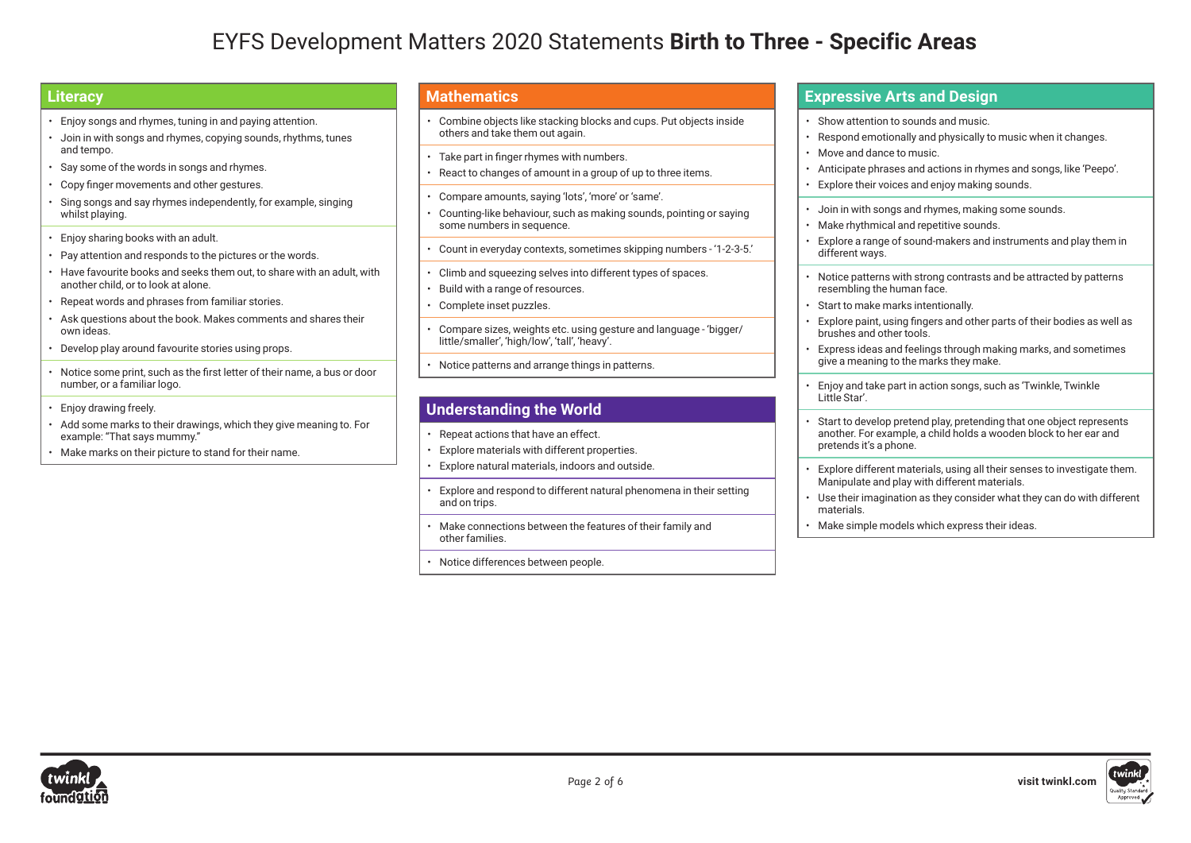## EYFS Development Matters 2020 Statements **Birth to Three - Specific Areas**

### **Literacy**

- Enjoy songs and rhymes, tuning in and paying attention.
- Join in with songs and rhymes, copying sounds, rhythms, tunes and tempo.
- Say some of the words in songs and rhymes.
- Copy finger movements and other gestures.
- Sing songs and say rhymes independently, for example, singing whilst playing.
- Enjoy sharing books with an adult.
- Pay attention and responds to the pictures or the words.
- Have favourite books and seeks them out, to share with an adult, with another child, or to look at alone.
- Repeat words and phrases from familiar stories.
- Ask questions about the book. Makes comments and shares their own ideas.
- Develop play around favourite stories using props.
- Notice some print, such as the first letter of their name, a bus or door number, or a familiar logo.
- Enjoy drawing freely.
- Add some marks to their drawings, which they give meaning to. For example: "That says mummy."
- Make marks on their picture to stand for their name.

### **Mathematics**

- Combine objects like stacking blocks and cups. Put objects inside others and take them out again.
- Take part in finger rhymes with numbers.
- React to changes of amount in a group of up to three items.
- Compare amounts, saying 'lots', 'more' or 'same'.
- Counting-like behaviour, such as making sounds, pointing or saying some numbers in sequence.
- Count in everyday contexts, sometimes skipping numbers '1-2-3-5.'
- Climb and squeezing selves into different types of spaces.
- Build with a range of resources.
- Complete inset puzzles.
- Compare sizes, weights etc. using gesture and language 'bigger/ little/smaller', 'high/low', 'tall', 'heavy'.
- Notice patterns and arrange things in patterns.

## **Understanding the World**

- Repeat actions that have an effect.
- Explore materials with different properties.
- Explore natural materials, indoors and outside.
- Explore and respond to different natural phenomena in their setting and on trips.
- Make connections between the features of their family and other families.
- Notice differences between people.

#### **Expressive Arts and Design**

- Show attention to sounds and music.
- Respond emotionally and physically to music when it changes.
- Move and dance to music.
- Anticipate phrases and actions in rhymes and songs, like 'Peepo'.
- Explore their voices and enjoy making sounds.
- Join in with songs and rhymes, making some sounds.
- Make rhythmical and repetitive sounds.
- Explore a range of sound-makers and instruments and play them in different ways.
- Notice patterns with strong contrasts and be attracted by patterns resembling the human face.
- Start to make marks intentionally.
- Explore paint, using fingers and other parts of their bodies as well as brushes and other tools.
- Express ideas and feelings through making marks, and sometimes give a meaning to the marks they make.
- Enjoy and take part in action songs, such as 'Twinkle, Twinkle Little Star'.
- Start to develop pretend play, pretending that one object represents another. For example, a child holds a wooden block to her ear and pretends it's a phone.
- Explore different materials, using all their senses to investigate them. Manipulate and play with different materials.
- Use their imagination as they consider what they can do with different materials.
- Make simple models which express their ideas.



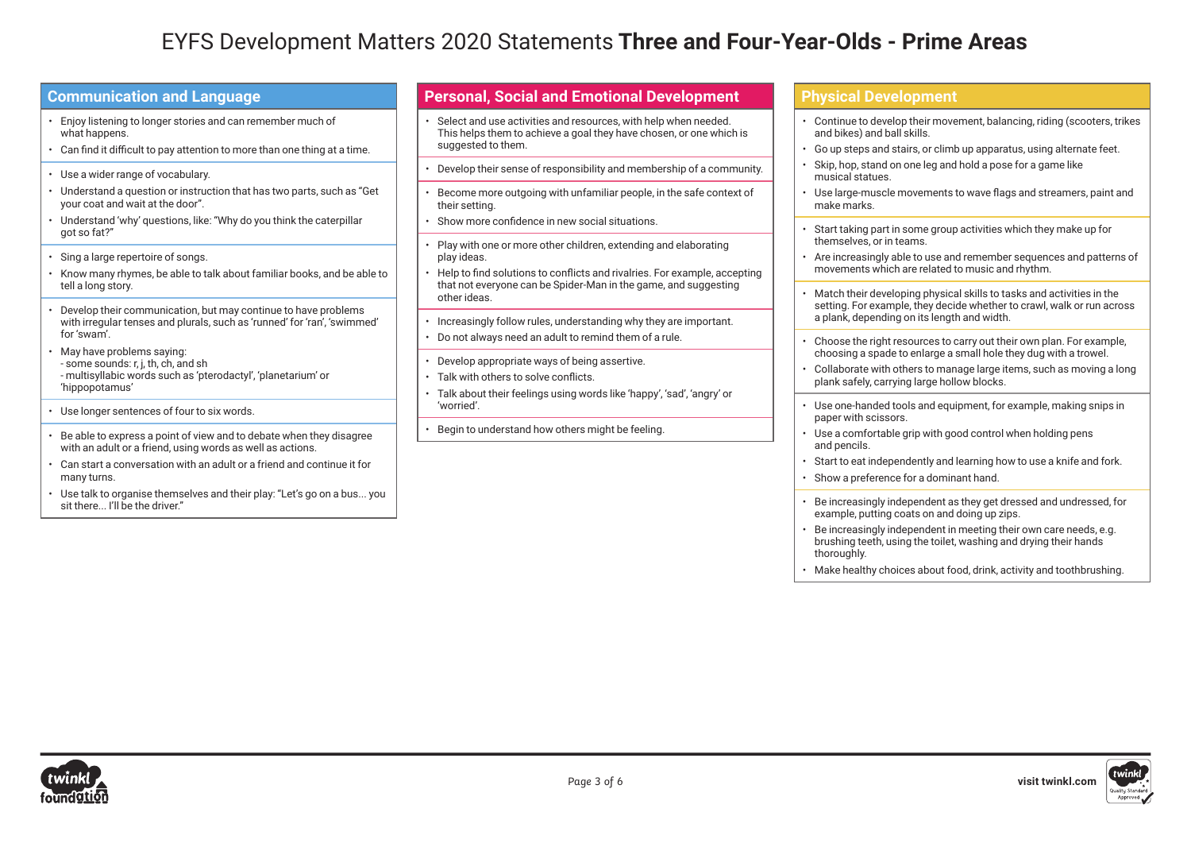## EYFS Development Matters 2020 Statements **Three and Four-Year-Olds - Prime Areas**

| <b>Communication and Language</b> |  |  |
|-----------------------------------|--|--|
|                                   |  |  |

- Enjoy listening to longer stories and can remember much of what happens.
- Can find it difficult to pay attention to more than one thing at a time.
- Use a wider range of vocabulary.
- Understand a question or instruction that has two parts, such as "Get your coat and wait at the door".
- Understand 'why' questions, like: "Why do you think the caterpillar got so fat?"
- Sing a large repertoire of songs.
- Know many rhymes, be able to talk about familiar books, and be able to tell a long story.
- Develop their communication, but may continue to have problems with irregular tenses and plurals, such as 'runned' for 'ran', 'swimmed' for 'swam'.
- May have problems saying: - some sounds: r, j, th, ch, and sh - multisyllabic words such as 'pterodactyl', 'planetarium' or 'hippopotamus'
- Use longer sentences of four to six words.
- Be able to express a point of view and to debate when they disagree with an adult or a friend, using words as well as actions.
- Can start a conversation with an adult or a friend and continue it for many turns.
- Use talk to organise themselves and their play: "Let's go on a bus... you sit there... I'll be the driver."

#### **Personal, Social and Emotional Development**

- Select and use activities and resources, with help when needed. This helps them to achieve a goal they have chosen, or one which is suggested to them.
- Develop their sense of responsibility and membership of a community.
- Become more outgoing with unfamiliar people, in the safe context of their setting.
- Show more confidence in new social situations.
- Play with one or more other children, extending and elaborating play ideas.
- Help to find solutions to conflicts and rivalries. For example, accepting that not everyone can be Spider-Man in the game, and suggesting other ideas.
- Increasingly follow rules, understanding why they are important.
- Do not always need an adult to remind them of a rule.
- Develop appropriate ways of being assertive.
- Talk with others to solve conflicts.
- Talk about their feelings using words like 'happy', 'sad', 'angry' or 'worried'.
- Begin to understand how others might be feeling.

#### **Physical Development**

- Continue to develop their movement, balancing, riding (scooters, trikes and bikes) and ball skills.
- Go up steps and stairs, or climb up apparatus, using alternate feet.
- Skip, hop, stand on one leg and hold a pose for a game like musical statues.
- Use large-muscle movements to wave flags and streamers, paint and make marks.
- Start taking part in some group activities which they make up for themselves, or in teams.
- Are increasingly able to use and remember sequences and patterns of movements which are related to music and rhythm.
- Match their developing physical skills to tasks and activities in the setting. For example, they decide whether to crawl, walk or run across a plank, depending on its length and width.
- Choose the right resources to carry out their own plan. For example, choosing a spade to enlarge a small hole they dug with a trowel.
- Collaborate with others to manage large items, such as moving a long plank safely, carrying large hollow blocks.
- Use one-handed tools and equipment, for example, making snips in paper with scissors.
- Use a comfortable grip with good control when holding pens and pencils.
- Start to eat independently and learning how to use a knife and fork.
- Show a preference for a dominant hand.
- Be increasingly independent as they get dressed and undressed, for example, putting coats on and doing up zips.
- Be increasingly independent in meeting their own care needs, e.g. brushing teeth, using the toilet, washing and drying their hands thoroughly.
- Make healthy choices about food, drink, activity and toothbrushing.



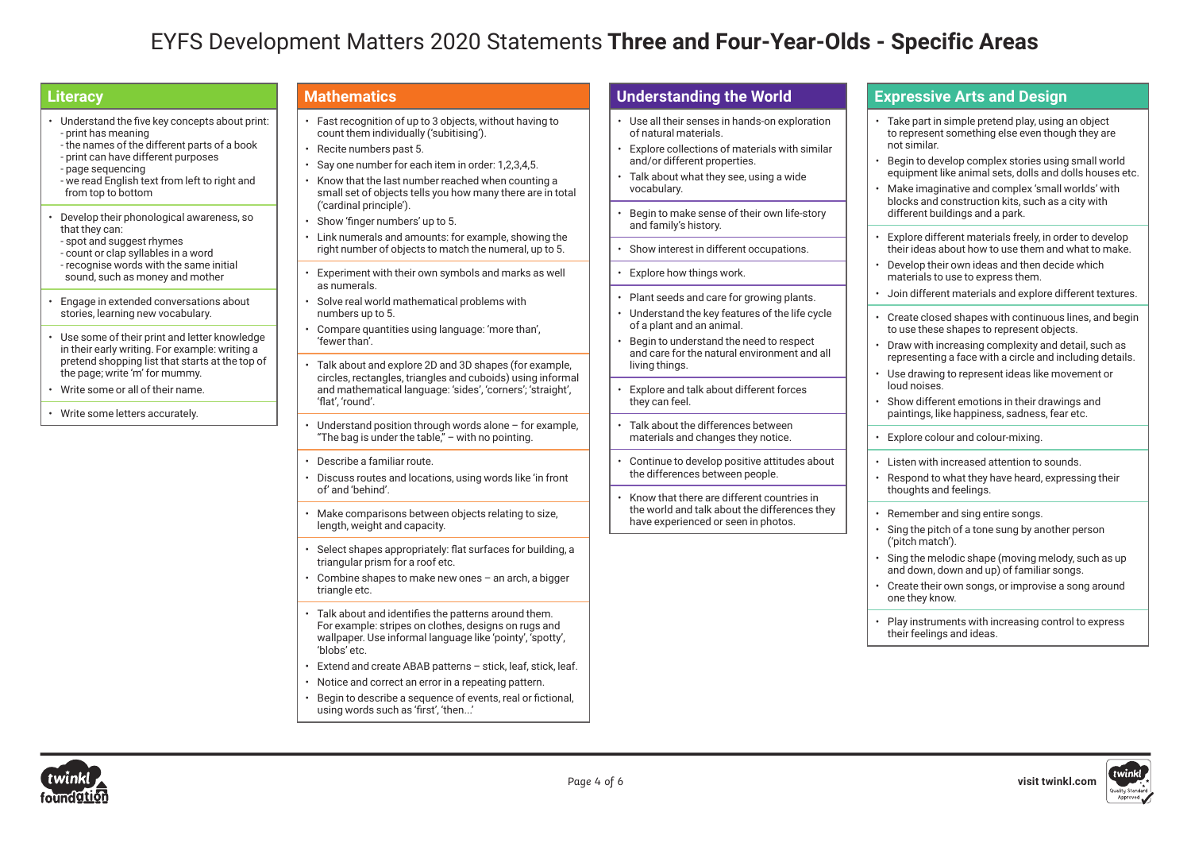## EYFS Development Matters 2020 Statements **Three and Four-Year-Olds - Specific Areas**

## **Literacy**

- Understand the five key concepts about print: - print has meaning - the names of the different parts of a book
- print can have different purposes - page sequencing
- we read English text from left to right and from top to bottom
- Develop their phonological awareness, so that they can: - spot and suggest rhymes - count or clap syllables in a word - recognise words with the same initial
- sound, such as money and mother • Engage in extended conversations about
- stories, learning new vocabulary.
- Use some of their print and letter knowledge in their early writing. For example: writing a pretend shopping list that starts at the top of the page; write 'm' for mummy.
- Write some or all of their name.
- Write some letters accurately.

#### **Mathematics**

- Fast recognition of up to 3 objects, without having to count them individually ('subitising').
- Recite numbers past 5.
- Say one number for each item in order: 1,2,3,4,5.
- Know that the last number reached when counting a small set of objects tells you how many there are in total ('cardinal principle').
- Show 'finger numbers' up to 5.
- Link numerals and amounts: for example, showing the right number of objects to match the numeral, up to 5.
- Experiment with their own symbols and marks as well as numerals.
- Solve real world mathematical problems with numbers up to 5.
- Compare quantities using language: 'more than', 'fewer than'.
- Talk about and explore 2D and 3D shapes (for example, circles, rectangles, triangles and cuboids) using informal and mathematical language: 'sides', 'corners'; 'straight', 'flat', 'round'.
- Understand position through words alone for example, "The bag is under the table," – with no pointing.
- Describe a familiar route.
- Discuss routes and locations, using words like 'in front of' and 'behind'.
- Make comparisons between objects relating to size, length, weight and capacity.
- Select shapes appropriately: flat surfaces for building, a triangular prism for a roof etc.
- Combine shapes to make new ones an arch, a bigger triangle etc.
- Talk about and identifies the patterns around them. For example: stripes on clothes, designs on rugs and wallpaper. Use informal language like 'pointy', 'spotty', 'blobs' etc.
- Extend and create ABAB patterns stick, leaf, stick, leaf.
- Notice and correct an error in a repeating pattern.
- Begin to describe a sequence of events, real or fictional, using words such as 'first', 'then...'

## **Understanding the World**

- Use all their senses in hands-on exploration of natural materials.
- Explore collections of materials with similar and/or different properties.
- Talk about what they see, using a wide vocabulary.
- Begin to make sense of their own life-story and family's history.
- Show interest in different occupations.
- Explore how things work.
- Plant seeds and care for growing plants.
- Understand the key features of the life cycle of a plant and an animal.
- Begin to understand the need to respect and care for the natural environment and all living things.
- Explore and talk about different forces they can feel.
- Talk about the differences between materials and changes they notice.
- Continue to develop positive attitudes about the differences between people.
- Know that there are different countries in the world and talk about the differences they have experienced or seen in photos.

#### **Expressive Arts and Design**

- Take part in simple pretend play, using an object to represent something else even though they are not similar.
- Begin to develop complex stories using small world equipment like animal sets, dolls and dolls houses etc.
- Make imaginative and complex 'small worlds' with blocks and construction kits, such as a city with different buildings and a park.
- Explore different materials freely, in order to develop their ideas about how to use them and what to make.
- Develop their own ideas and then decide which materials to use to express them.
- Join different materials and explore different textures.
- Create closed shapes with continuous lines, and begin to use these shapes to represent objects.
- Draw with increasing complexity and detail, such as representing a face with a circle and including details.
- Use drawing to represent ideas like movement or loud noises.
- Show different emotions in their drawings and paintings, like happiness, sadness, fear etc.
- Explore colour and colour-mixing.
- Listen with increased attention to sounds.
- Respond to what they have heard, expressing their thoughts and feelings.
- Remember and sing entire songs.
- Sing the pitch of a tone sung by another person ('pitch match').
- Sing the melodic shape (moving melody, such as up and down, down and up) of familiar songs.
- Create their own songs, or improvise a song around one they know.
- Play instruments with increasing control to express their feelings and ideas.



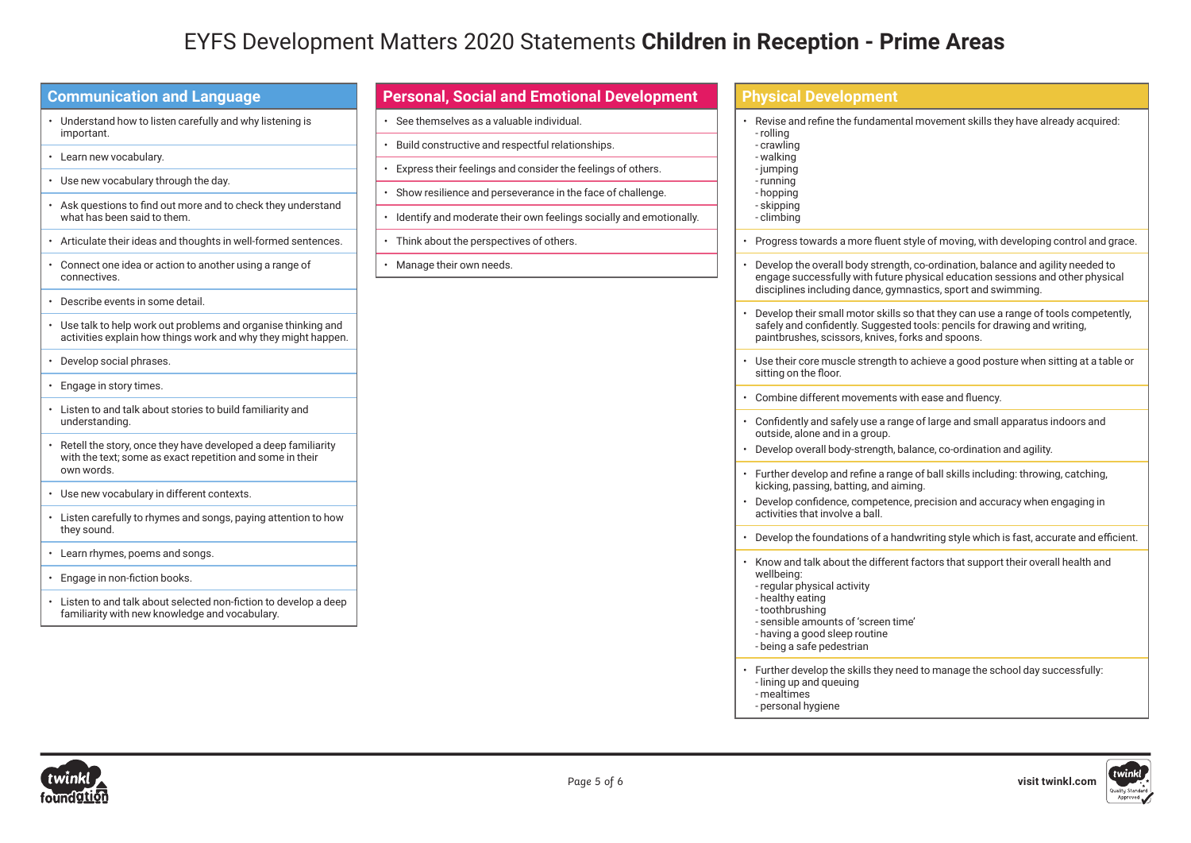## **EYFS Development Matters 2020 Statemer**

| <b>Communication and Language</b>                                                                                                                     |  |  |
|-------------------------------------------------------------------------------------------------------------------------------------------------------|--|--|
| Understand how to listen carefully and why listening is<br>important.                                                                                 |  |  |
| Learn new vocabulary.<br>$\bullet$                                                                                                                    |  |  |
| Use new vocabulary through the day.<br>$\bullet$                                                                                                      |  |  |
| Ask questions to find out more and to check they understand<br>$\bullet$<br>what has been said to them.                                               |  |  |
| Articulate their ideas and thoughts in well-formed sentences.<br>$\bullet$                                                                            |  |  |
| • Connect one idea or action to another using a range of<br>connectives.                                                                              |  |  |
| Describe events in some detail.<br>$\bullet$                                                                                                          |  |  |
| Use talk to help work out problems and organise thinking and<br>$\bullet$<br>activities explain how things work and why they might happen.            |  |  |
| Develop social phrases.<br>$\bullet$                                                                                                                  |  |  |
| Engage in story times.<br>$\bullet$                                                                                                                   |  |  |
| Listen to and talk about stories to build familiarity and<br>$\bullet$<br>understanding.                                                              |  |  |
| Retell the story, once they have developed a deep familiarity<br>$\bullet$<br>with the text; some as exact repetition and some in their<br>own words. |  |  |
| • Use new vocabulary in different contexts.                                                                                                           |  |  |
| Listen carefully to rhymes and songs, paying attention to how<br>$\bullet$<br>they sound.                                                             |  |  |
| Learn rhymes, poems and songs.<br>$\bullet$                                                                                                           |  |  |
| Engage in non-fiction books.<br>$\bullet$                                                                                                             |  |  |
| Listen to and talk about selected non-fiction to develop a deep<br>familiarity with new knowledge and vocabulary.                                     |  |  |

| Matters 2020 Statements <b>Children in Reception - Prime Areas</b>   |                                                                                                                                                                                                                                             |  |
|----------------------------------------------------------------------|---------------------------------------------------------------------------------------------------------------------------------------------------------------------------------------------------------------------------------------------|--|
|                                                                      |                                                                                                                                                                                                                                             |  |
| <b>Personal, Social and Emotional Development</b>                    | <b>Physical Development</b>                                                                                                                                                                                                                 |  |
| · See themselves as a valuable individual.                           | Revise and refine the fundamental movement skills they have already acquired:<br>- rolling<br>- crawling<br>- walking<br>-jumping<br>- running<br>- hopping<br>- skipping<br>- climbing                                                     |  |
| • Build constructive and respectful relationships.                   |                                                                                                                                                                                                                                             |  |
| • Express their feelings and consider the feelings of others.        |                                                                                                                                                                                                                                             |  |
| · Show resilience and perseverance in the face of challenge.         |                                                                                                                                                                                                                                             |  |
| · Identify and moderate their own feelings socially and emotionally. |                                                                                                                                                                                                                                             |  |
| • Think about the perspectives of others.                            | Progress towards a more fluent style of moving, with developing control and grace.                                                                                                                                                          |  |
| · Manage their own needs.                                            | Develop the overall body strength, co-ordination, balance and agility needed to<br>engage successfully with future physical education sessions and other physical<br>disciplines including dance, gymnastics, sport and swimming.           |  |
|                                                                      | Develop their small motor skills so that they can use a range of tools competently,<br>safely and confidently. Suggested tools: pencils for drawing and writing,<br>paintbrushes, scissors, knives, forks and spoons.                       |  |
|                                                                      | • Use their core muscle strength to achieve a good posture when sitting at a table or<br>sitting on the floor.                                                                                                                              |  |
|                                                                      | • Combine different movements with ease and fluency.                                                                                                                                                                                        |  |
|                                                                      | • Confidently and safely use a range of large and small apparatus indoors and<br>outside, alone and in a group.                                                                                                                             |  |
|                                                                      | · Develop overall body-strength, balance, co-ordination and agility.                                                                                                                                                                        |  |
|                                                                      | • Further develop and refine a range of ball skills including: throwing, catching,<br>kicking, passing, batting, and aiming.                                                                                                                |  |
|                                                                      | Develop confidence, competence, precision and accuracy when engaging in<br>activities that involve a ball.                                                                                                                                  |  |
|                                                                      | • Develop the foundations of a handwriting style which is fast, accurate and efficient.                                                                                                                                                     |  |
|                                                                      | Know and talk about the different factors that support their overall health and<br>wellbeing:<br>- regular physical activity<br>- healthy eating<br>- toothbrushing<br>- sensible amounts of 'screen time'<br>- having a good sleep routine |  |

- being a safe pedestrian
- Further develop the skills they need to manage the school day successfully: - lining up and queuing
- mealtimes
- personal hygiene